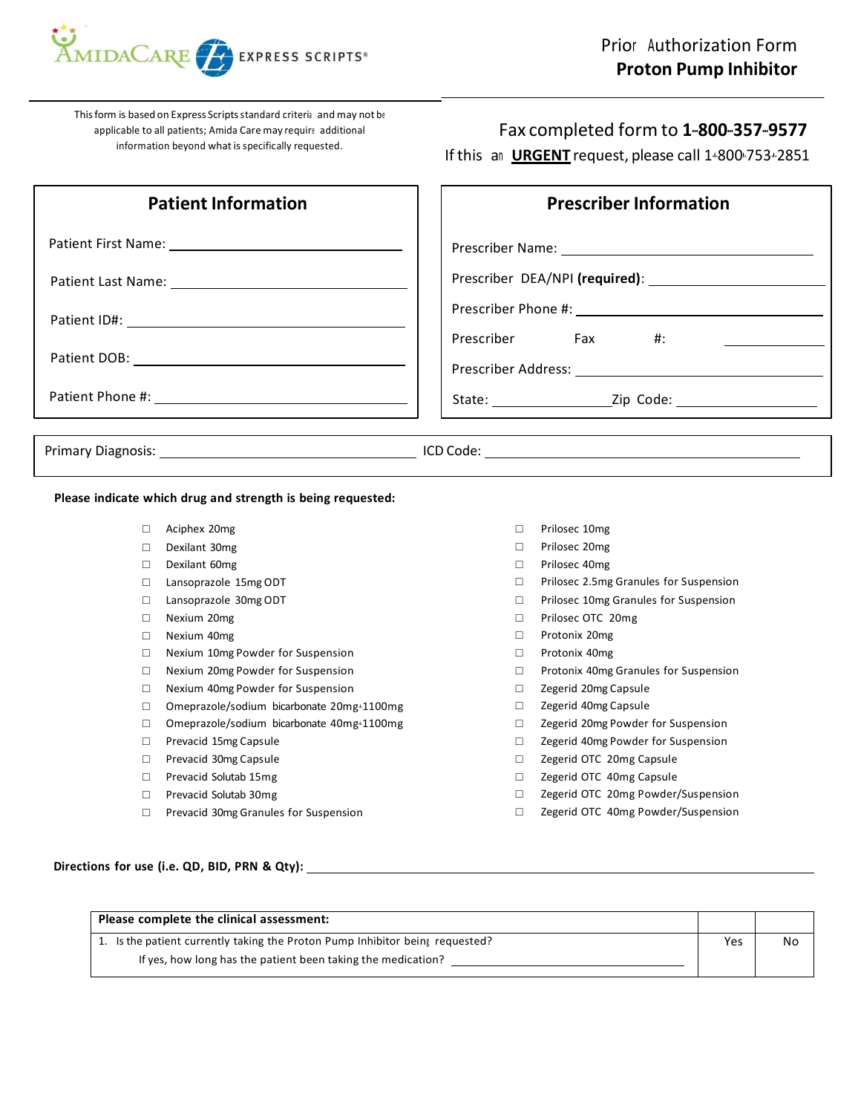

This form is based on Express Scripts standard criteria and may not be applicable to all patients; Amida Caremay require additional information beyond what is specifically requested.

## Fax completed form to 1-800-357-9577

If this an **URGENT** request, please call 1+800 753+2851

| <b>Patient Information</b>              | <b>Prescriber Information</b> |  |
|-----------------------------------------|-------------------------------|--|
| Patient First Name: 1990 1991 1992 1994 |                               |  |
|                                         |                               |  |
|                                         | Prescriber Fax #:             |  |
|                                         |                               |  |
|                                         |                               |  |
|                                         |                               |  |

**Please indicate which drug and strength is being requested:**

- □ Aciphex 20mg
- □ Dexilant 30mg
- □ Dexilant 60mg
- □ Lansoprazole 15mg ODT
- □ Lansoprazole 30mg ODT
- □ Nexium 20mg
- □ Nexium 40mg
- □ Nexium 10mg Powder for Suspension
- □ Nexium 20mg Powder for Suspension
- □ Nexium 40mg Powder for Suspension
- □ Omeprazole/sodium bicarbonate 20mg+1100mg
- □ Omeprazole/sodium bicarbonate 40mg+1100mg
- □ Prevacid 15mg Capsule
- □ Prevacid 30mg Capsule
- □ Prevacid Solutab 15mg
- □ Prevacid Solutab 30mg
- □ Prevacid 30mg Granules for Suspension
- □ Prilosec 10mg
- □ Prilosec 20mg
- □ Prilosec 40mg
- □ Prilosec 2.5mg Granules for Suspension
- □ Prilosec 10mg Granules for Suspension
- □ Prilosec OTC 20mg
- □ Protonix 20mg
- □ Protonix 40mg
- □ Protonix 40mg Granules for Suspension
- □ Zegerid 20mg Capsule
- □ Zegerid 40mg Capsule
- □ Zegerid 20mg Powder for Suspension
- □ Zegerid 40mg Powder for Suspension
- □ Zegerid OTC 20mg Capsule
- □ Zegerid OTC 40mg Capsule
- □ Zegerid OTC 20mg Powder/Suspension
- □ Zegerid OTC 40mg Powder/Suspension

**Directions for use (i.e. QD, BID, PRN & Qty):**

| Please complete the clinical assessment:                                      |     |    |
|-------------------------------------------------------------------------------|-----|----|
| 1. Is the patient currently taking the Proton Pump Inhibitor being requested? | Yes | No |
| If yes, how long has the patient been taking the medication?                  |     |    |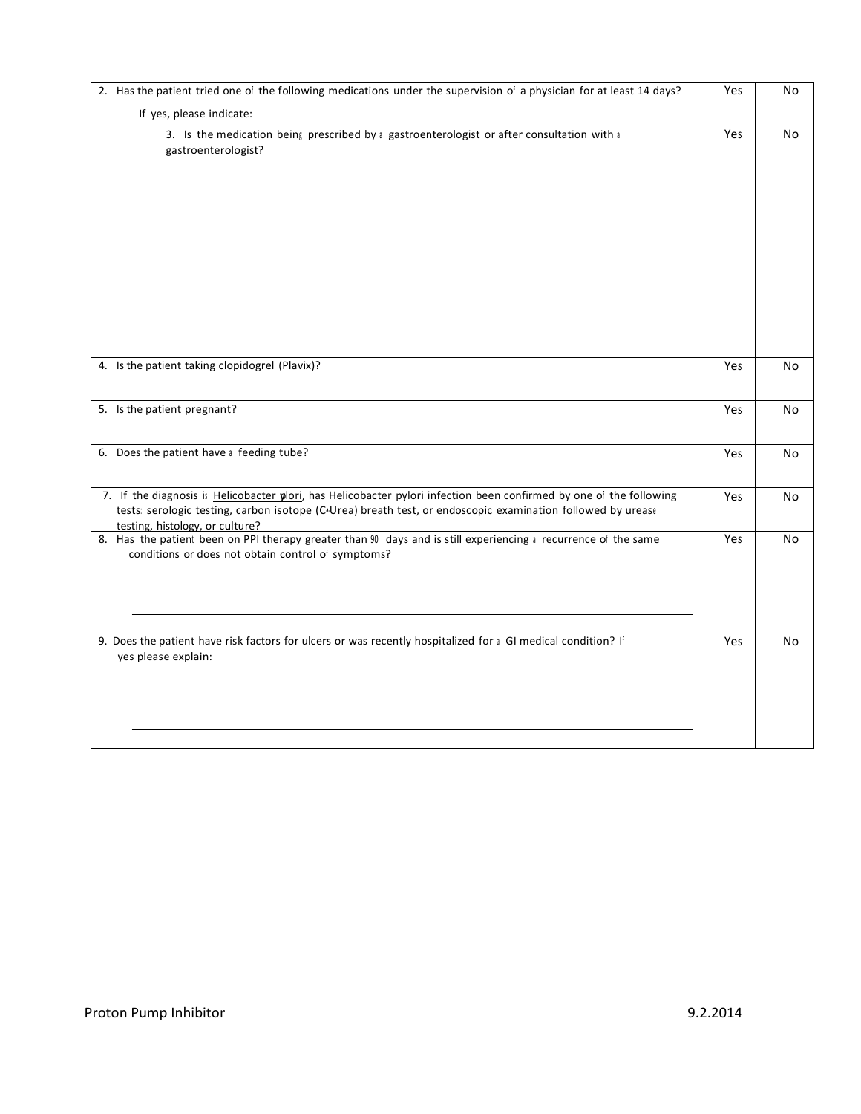| 2. Has the patient tried one of the following medications under the supervision of a physician for at least 14 days?                                                                                                                                                  |     | No        |
|-----------------------------------------------------------------------------------------------------------------------------------------------------------------------------------------------------------------------------------------------------------------------|-----|-----------|
| If yes, please indicate:                                                                                                                                                                                                                                              |     |           |
| 3. Is the medication being prescribed by a gastroenterologist or after consultation with a<br>gastroenterologist?                                                                                                                                                     | Yes | No        |
| 4. Is the patient taking clopidogrel (Plavix)?                                                                                                                                                                                                                        | Yes | No        |
| 5. Is the patient pregnant?                                                                                                                                                                                                                                           | Yes | No        |
| 6. Does the patient have a feeding tube?                                                                                                                                                                                                                              | Yes | <b>No</b> |
| 7. If the diagnosis is Helicobacter plori, has Helicobacter pylori infection been confirmed by one of the following<br>tests: serologic testing, carbon isotope (C+Urea) breath test, or endoscopic examination followed by urease<br>testing, histology, or culture? | Yes | No        |
| 8. Has the patient been on PPI therapy greater than 90 days and is still experiencing a recurrence of the same<br>conditions or does not obtain control of symptoms?                                                                                                  | Yes | No        |
| 9. Does the patient have risk factors for ulcers or was recently hospitalized for a GI medical condition? If<br>yes please explain:                                                                                                                                   | Yes | No        |
|                                                                                                                                                                                                                                                                       |     |           |